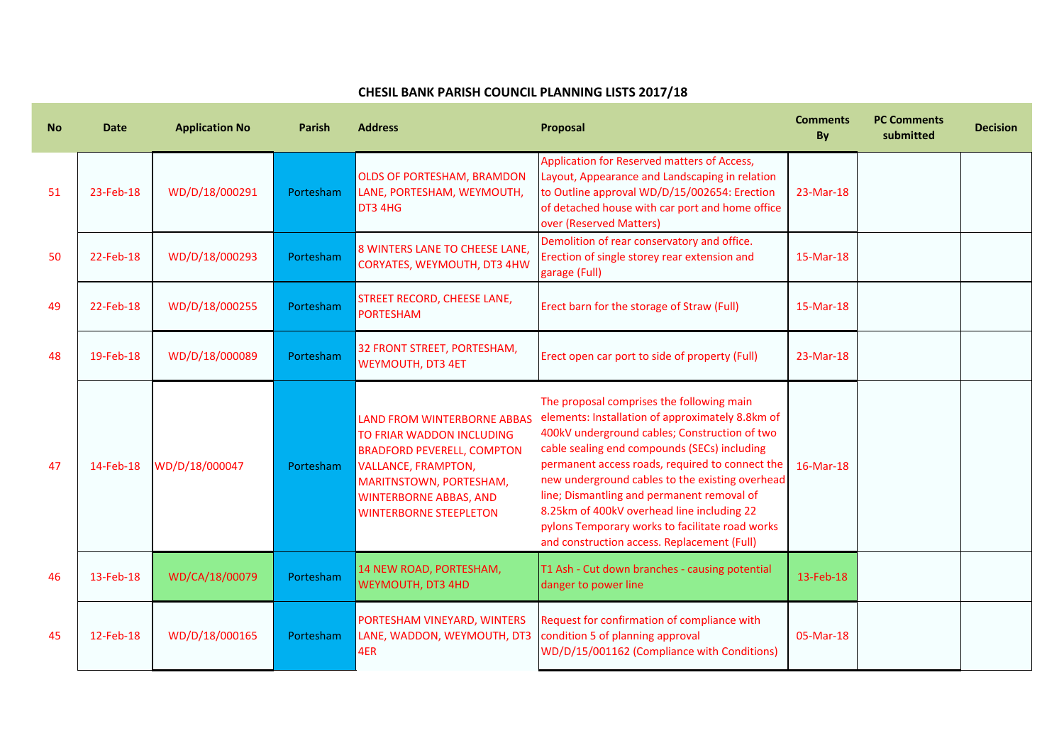## **CHESIL BANK PARISH COUNCIL PLANNING LISTS 2017/18**

| <b>No</b> | <b>Date</b> | <b>Application No</b> | <b>Parish</b> | <b>Address</b>                                                                                                                                                                                                                  | Proposal                                                                                                                                                                                                                                                                                                                                                                                                                                                                                           | <b>Comments</b><br>By | <b>PC Comments</b><br>submitted | <b>Decision</b> |
|-----------|-------------|-----------------------|---------------|---------------------------------------------------------------------------------------------------------------------------------------------------------------------------------------------------------------------------------|----------------------------------------------------------------------------------------------------------------------------------------------------------------------------------------------------------------------------------------------------------------------------------------------------------------------------------------------------------------------------------------------------------------------------------------------------------------------------------------------------|-----------------------|---------------------------------|-----------------|
| 51        | 23-Feb-18   | WD/D/18/000291        | Portesham     | <b>OLDS OF PORTESHAM, BRAMDON</b><br>LANE, PORTESHAM, WEYMOUTH,<br>DT3 4HG                                                                                                                                                      | Application for Reserved matters of Access,<br>Layout, Appearance and Landscaping in relation<br>to Outline approval WD/D/15/002654: Erection<br>of detached house with car port and home office<br>over (Reserved Matters)                                                                                                                                                                                                                                                                        | 23-Mar-18             |                                 |                 |
| 50        | 22-Feb-18   | WD/D/18/000293        | Portesham     | 8 WINTERS LANE TO CHEESE LANE,<br>CORYATES, WEYMOUTH, DT3 4HW                                                                                                                                                                   | Demolition of rear conservatory and office.<br>Erection of single storey rear extension and<br>garage (Full)                                                                                                                                                                                                                                                                                                                                                                                       | 15-Mar-18             |                                 |                 |
| 49        | 22-Feb-18   | WD/D/18/000255        | Portesham     | STREET RECORD, CHEESE LANE,<br><b>PORTESHAM</b>                                                                                                                                                                                 | Erect barn for the storage of Straw (Full)                                                                                                                                                                                                                                                                                                                                                                                                                                                         | 15-Mar-18             |                                 |                 |
| 48        | 19-Feb-18   | WD/D/18/000089        | Portesham     | 32 FRONT STREET, PORTESHAM,<br><b>WEYMOUTH, DT3 4ET</b>                                                                                                                                                                         | Erect open car port to side of property (Full)                                                                                                                                                                                                                                                                                                                                                                                                                                                     | 23-Mar-18             |                                 |                 |
| 47        | 14-Feb-18   | WD/D/18/000047        | Portesham     | <b>LAND FROM WINTERBORNE ABBAS</b><br>TO FRIAR WADDON INCLUDING<br><b>BRADFORD PEVERELL, COMPTON</b><br><b>VALLANCE, FRAMPTON,</b><br>MARITNSTOWN, PORTESHAM,<br><b>WINTERBORNE ABBAS, AND</b><br><b>WINTERBORNE STEEPLETON</b> | The proposal comprises the following main<br>elements: Installation of approximately 8.8km of<br>400kV underground cables; Construction of two<br>cable sealing end compounds (SECs) including<br>permanent access roads, required to connect the<br>new underground cables to the existing overhead<br>line; Dismantling and permanent removal of<br>8.25km of 400kV overhead line including 22<br>pylons Temporary works to facilitate road works<br>and construction access. Replacement (Full) | 16-Mar-18             |                                 |                 |
| 46        | 13-Feb-18   | WD/CA/18/00079        | Portesham     | 14 NEW ROAD, PORTESHAM,<br><b>WEYMOUTH, DT3 4HD</b>                                                                                                                                                                             | T1 Ash - Cut down branches - causing potential<br>danger to power line                                                                                                                                                                                                                                                                                                                                                                                                                             | 13-Feb-18             |                                 |                 |
| 45        | 12-Feb-18   | WD/D/18/000165        | Portesham     | PORTESHAM VINEYARD, WINTERS<br>LANE, WADDON, WEYMOUTH, DT3<br>4ER                                                                                                                                                               | Request for confirmation of compliance with<br>condition 5 of planning approval<br>WD/D/15/001162 (Compliance with Conditions)                                                                                                                                                                                                                                                                                                                                                                     | 05-Mar-18             |                                 |                 |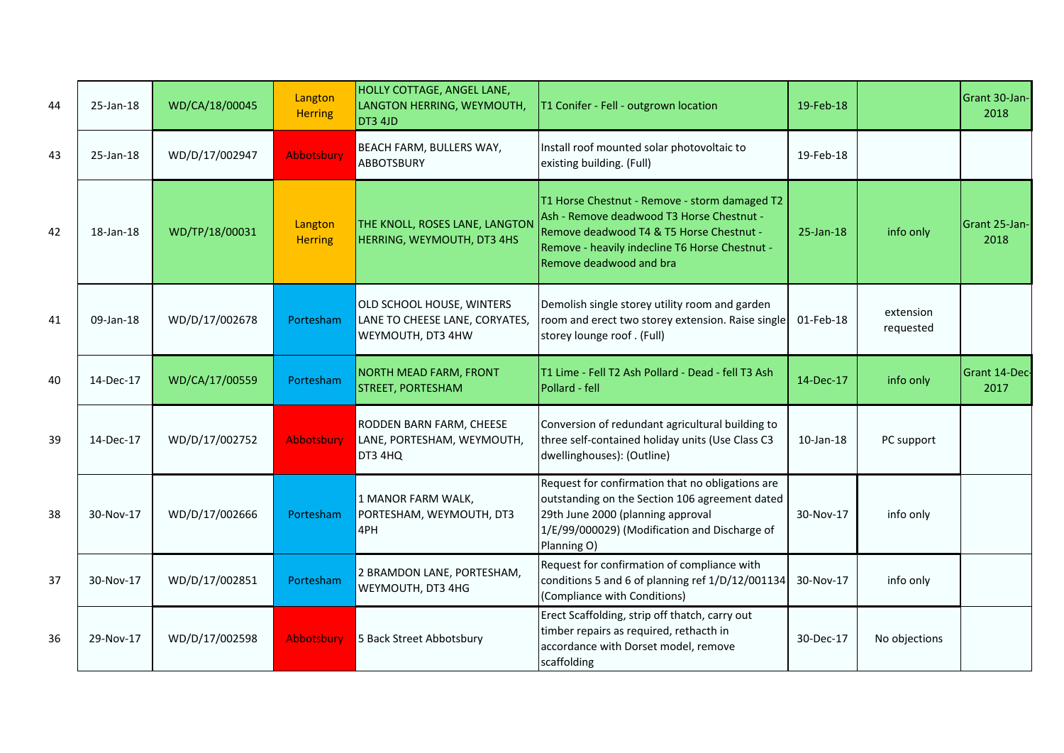| 44 | 25-Jan-18 | WD/CA/18/00045 | Langton<br><b>Herring</b> | HOLLY COTTAGE, ANGEL LANE,<br>LANGTON HERRING, WEYMOUTH,<br>DT3 4JD              | T1 Conifer - Fell - outgrown location                                                                                                                                                                               | 19-Feb-18       |                        | Grant 30-Jan-<br>2018 |
|----|-----------|----------------|---------------------------|----------------------------------------------------------------------------------|---------------------------------------------------------------------------------------------------------------------------------------------------------------------------------------------------------------------|-----------------|------------------------|-----------------------|
| 43 | 25-Jan-18 | WD/D/17/002947 | Abbotsbury                | BEACH FARM, BULLERS WAY,<br><b>ABBOTSBURY</b>                                    | Install roof mounted solar photovoltaic to<br>existing building. (Full)                                                                                                                                             | 19-Feb-18       |                        |                       |
| 42 | 18-Jan-18 | WD/TP/18/00031 | Langton<br><b>Herring</b> | THE KNOLL, ROSES LANE, LANGTON<br>HERRING, WEYMOUTH, DT3 4HS                     | T1 Horse Chestnut - Remove - storm damaged T2<br>Ash - Remove deadwood T3 Horse Chestnut -<br>Remove deadwood T4 & T5 Horse Chestnut -<br>Remove - heavily indecline T6 Horse Chestnut -<br>Remove deadwood and bra | 25-Jan-18       | info only              | Grant 25-Jan-<br>2018 |
| 41 | 09-Jan-18 | WD/D/17/002678 | Portesham                 | OLD SCHOOL HOUSE, WINTERS<br>LANE TO CHEESE LANE, CORYATES,<br>WEYMOUTH, DT3 4HW | Demolish single storey utility room and garden<br>room and erect two storey extension. Raise single<br>storey lounge roof . (Full)                                                                                  | 01-Feb-18       | extension<br>requested |                       |
| 40 | 14-Dec-17 | WD/CA/17/00559 | Portesham                 | <b>NORTH MEAD FARM, FRONT</b><br><b>STREET, PORTESHAM</b>                        | T1 Lime - Fell T2 Ash Pollard - Dead - fell T3 Ash<br>Pollard - fell                                                                                                                                                | 14-Dec-17       | info only              | Grant 14-Dec-<br>2017 |
| 39 | 14-Dec-17 | WD/D/17/002752 | <b>Abbotsbury</b>         | RODDEN BARN FARM, CHEESE<br>LANE, PORTESHAM, WEYMOUTH,<br>DT3 4HQ                | Conversion of redundant agricultural building to<br>three self-contained holiday units (Use Class C3<br>dwellinghouses): (Outline)                                                                                  | $10$ -Jan- $18$ | PC support             |                       |
| 38 | 30-Nov-17 | WD/D/17/002666 | Portesham                 | 1 MANOR FARM WALK,<br>PORTESHAM, WEYMOUTH, DT3<br>4PH                            | Request for confirmation that no obligations are<br>outstanding on the Section 106 agreement dated<br>29th June 2000 (planning approval<br>1/E/99/000029) (Modification and Discharge of<br>Planning O)             | 30-Nov-17       | info only              |                       |
| 37 | 30-Nov-17 | WD/D/17/002851 | Portesham                 | 2 BRAMDON LANE, PORTESHAM,<br>WEYMOUTH, DT3 4HG                                  | Request for confirmation of compliance with<br>conditions 5 and 6 of planning ref 1/D/12/001134<br>(Compliance with Conditions)                                                                                     | 30-Nov-17       | info only              |                       |
| 36 | 29-Nov-17 | WD/D/17/002598 | Abbotsbury                | 5 Back Street Abbotsbury                                                         | Erect Scaffolding, strip off thatch, carry out<br>timber repairs as required, rethacth in<br>accordance with Dorset model, remove<br>scaffolding                                                                    | 30-Dec-17       | No objections          |                       |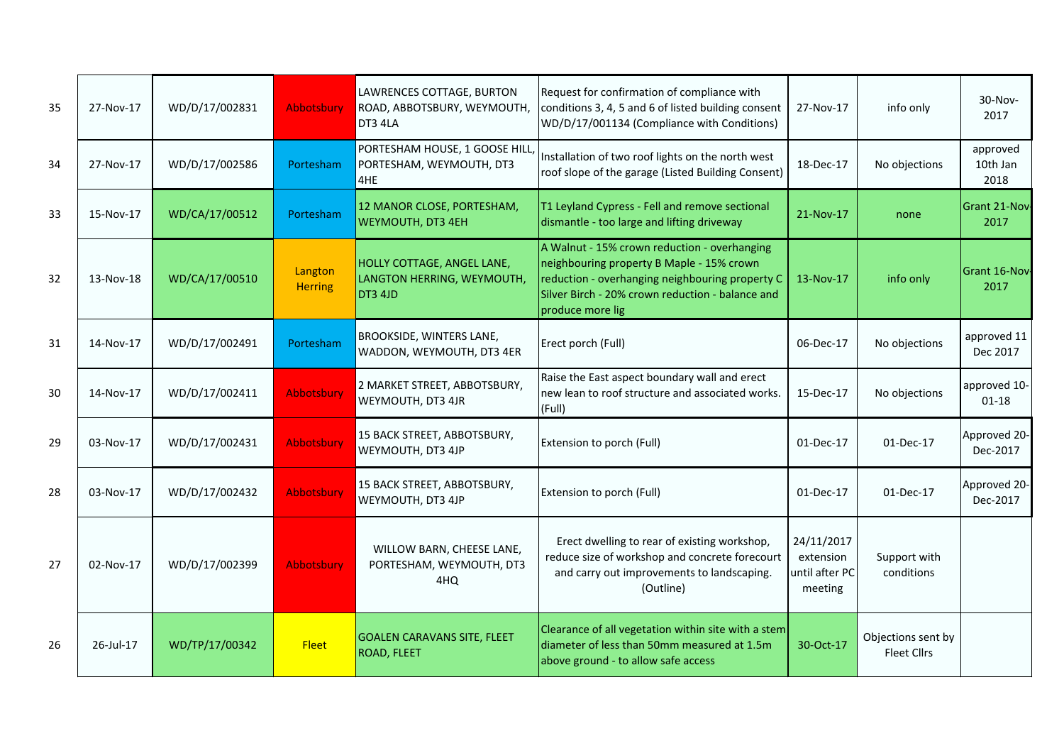| 35 | 27-Nov-17 | WD/D/17/002831 | <b>Abbotsbury</b>         | LAWRENCES COTTAGE, BURTON<br>ROAD, ABBOTSBURY, WEYMOUTH,<br>DT3 4LA | Request for confirmation of compliance with<br>conditions 3, 4, 5 and 6 of listed building consent<br>WD/D/17/001134 (Compliance with Conditions)                                                                    | 27-Nov-17                                            | info only                                | 30-Nov-<br>2017              |
|----|-----------|----------------|---------------------------|---------------------------------------------------------------------|----------------------------------------------------------------------------------------------------------------------------------------------------------------------------------------------------------------------|------------------------------------------------------|------------------------------------------|------------------------------|
| 34 | 27-Nov-17 | WD/D/17/002586 | Portesham                 | PORTESHAM HOUSE, 1 GOOSE HILL,<br>PORTESHAM, WEYMOUTH, DT3<br>4HE   | Installation of two roof lights on the north west<br>roof slope of the garage (Listed Building Consent)                                                                                                              | 18-Dec-17                                            | No objections                            | approved<br>10th Jan<br>2018 |
| 33 | 15-Nov-17 | WD/CA/17/00512 | Portesham                 | 12 MANOR CLOSE, PORTESHAM,<br>WEYMOUTH, DT3 4EH                     | T1 Leyland Cypress - Fell and remove sectional<br>dismantle - too large and lifting driveway                                                                                                                         | 21-Nov-17                                            | none                                     | Grant 21-Nov-<br>2017        |
| 32 | 13-Nov-18 | WD/CA/17/00510 | Langton<br><b>Herring</b> | HOLLY COTTAGE, ANGEL LANE,<br>LANGTON HERRING, WEYMOUTH,<br>DT3 4JD | A Walnut - 15% crown reduction - overhanging<br>neighbouring property B Maple - 15% crown<br>reduction - overhanging neighbouring property C<br>Silver Birch - 20% crown reduction - balance and<br>produce more lig | 13-Nov-17                                            | info only                                | Grant 16-Nov-<br>2017        |
| 31 | 14-Nov-17 | WD/D/17/002491 | Portesham                 | <b>BROOKSIDE, WINTERS LANE,</b><br>WADDON, WEYMOUTH, DT3 4ER        | Erect porch (Full)                                                                                                                                                                                                   | 06-Dec-17                                            | No objections                            | approved 11<br>Dec 2017      |
| 30 | 14-Nov-17 | WD/D/17/002411 | Abbotsbury                | 2 MARKET STREET, ABBOTSBURY,<br>WEYMOUTH, DT3 4JR                   | Raise the East aspect boundary wall and erect<br>new lean to roof structure and associated works.<br> (Full)                                                                                                         | 15-Dec-17                                            | No objections                            | approved 10-<br>$01 - 18$    |
| 29 | 03-Nov-17 | WD/D/17/002431 | <b>Abbotsbury</b>         | 15 BACK STREET, ABBOTSBURY,<br>WEYMOUTH, DT3 4JP                    | <b>Extension to porch (Full)</b>                                                                                                                                                                                     | 01-Dec-17                                            | 01-Dec-17                                | Approved 20-<br>Dec-2017     |
| 28 | 03-Nov-17 | WD/D/17/002432 | <b>Abbotsbury</b>         | 15 BACK STREET, ABBOTSBURY,<br>WEYMOUTH, DT3 4JP                    | <b>Extension to porch (Full)</b>                                                                                                                                                                                     | 01-Dec-17                                            | 01-Dec-17                                | Approved 20-<br>Dec-2017     |
| 27 | 02-Nov-17 | WD/D/17/002399 | <b>Abbotsbury</b>         | WILLOW BARN, CHEESE LANE,<br>PORTESHAM, WEYMOUTH, DT3<br>4HQ        | Erect dwelling to rear of existing workshop,<br>reduce size of workshop and concrete forecourt<br>and carry out improvements to landscaping.<br>(Outline)                                                            | 24/11/2017<br>extension<br>until after PC<br>meeting | Support with<br>conditions               |                              |
| 26 | 26-Jul-17 | WD/TP/17/00342 | <b>Fleet</b>              | <b>GOALEN CARAVANS SITE, FLEET</b><br>ROAD, FLEET                   | Clearance of all vegetation within site with a stem<br>diameter of less than 50mm measured at 1.5m<br>above ground - to allow safe access                                                                            | 30-Oct-17                                            | Objections sent by<br><b>Fleet Cllrs</b> |                              |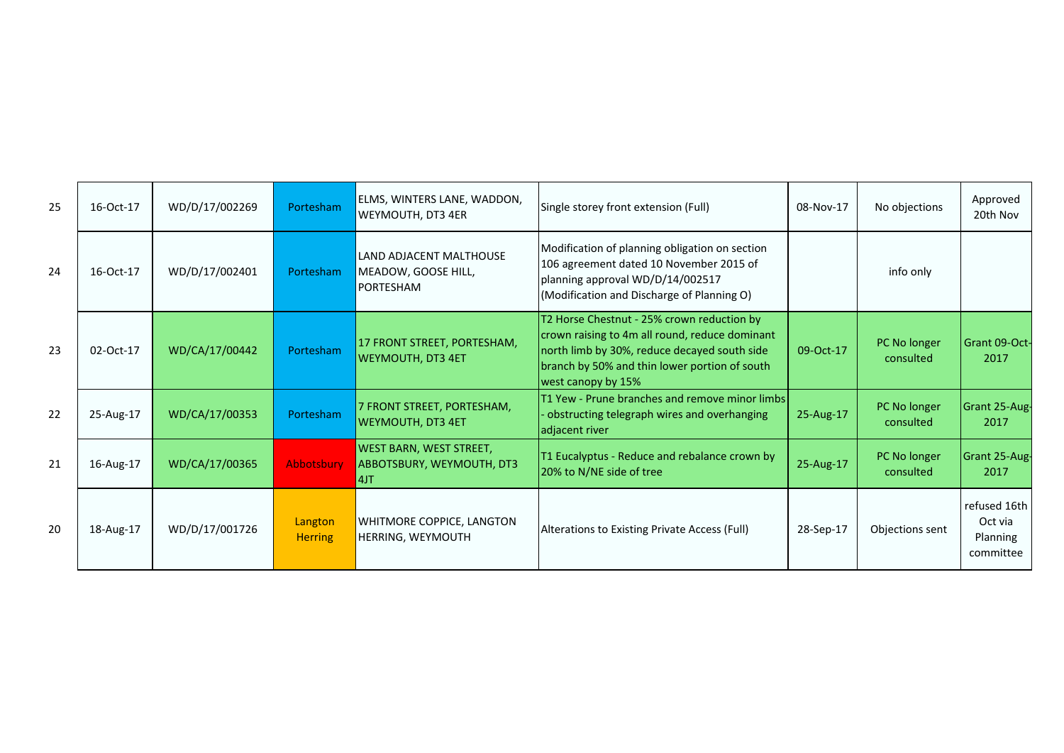| 25 | 16-Oct-17 | WD/D/17/002269 | Portesham                 | ELMS, WINTERS LANE, WADDON,<br>WEYMOUTH, DT3 4ER                   | Single storey front extension (Full)                                                                                                                                                                                | 08-Nov-17 | No objections             | Approved<br>20th Nov                             |
|----|-----------|----------------|---------------------------|--------------------------------------------------------------------|---------------------------------------------------------------------------------------------------------------------------------------------------------------------------------------------------------------------|-----------|---------------------------|--------------------------------------------------|
| 24 | 16-Oct-17 | WD/D/17/002401 | Portesham                 | LAND ADJACENT MALTHOUSE<br>MEADOW, GOOSE HILL,<br><b>PORTESHAM</b> | Modification of planning obligation on section<br>106 agreement dated 10 November 2015 of<br>planning approval WD/D/14/002517<br>(Modification and Discharge of Planning O)                                         |           | info only                 |                                                  |
| 23 | 02-Oct-17 | WD/CA/17/00442 | Portesham                 | 17 FRONT STREET, PORTESHAM,<br><b>WEYMOUTH, DT3 4ET</b>            | T2 Horse Chestnut - 25% crown reduction by<br>crown raising to 4m all round, reduce dominant<br>north limb by 30%, reduce decayed south side<br>branch by 50% and thin lower portion of south<br>west canopy by 15% | 09-Oct-17 | PC No longer<br>consulted | Grant 09-Oct-<br>2017                            |
| 22 | 25-Aug-17 | WD/CA/17/00353 | Portesham                 | 7 FRONT STREET, PORTESHAM,<br><b>WEYMOUTH, DT3 4ET</b>             | T1 Yew - Prune branches and remove minor limbs<br>obstructing telegraph wires and overhanging<br>adjacent river                                                                                                     | 25-Aug-17 | PC No longer<br>consulted | Grant 25-Aug-<br>2017                            |
| 21 | 16-Aug-17 | WD/CA/17/00365 | Abbotsbury                | WEST BARN, WEST STREET,<br>ABBOTSBURY, WEYMOUTH, DT3<br>4JT        | T1 Eucalyptus - Reduce and rebalance crown by<br>20% to N/NE side of tree                                                                                                                                           | 25-Aug-17 | PC No longer<br>consulted | Grant 25-Aug-<br>2017                            |
| 20 | 18-Aug-17 | WD/D/17/001726 | Langton<br><b>Herring</b> | WHITMORE COPPICE, LANGTON<br>HERRING, WEYMOUTH                     | Alterations to Existing Private Access (Full)                                                                                                                                                                       | 28-Sep-17 | Objections sent           | refused 16th<br>Oct via<br>Planning<br>committee |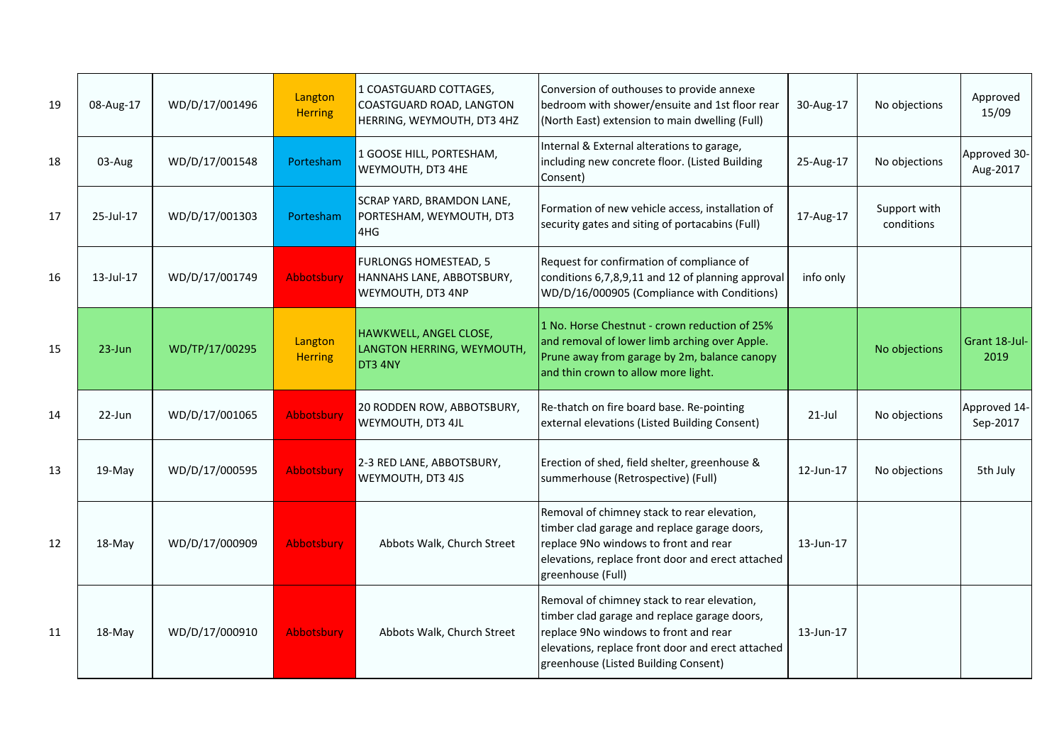| 19 | 08-Aug-17 | WD/D/17/001496 | Langton<br><b>Herring</b> | 1 COASTGUARD COTTAGES,<br>COASTGUARD ROAD, LANGTON<br>HERRING, WEYMOUTH, DT3 4HZ | Conversion of outhouses to provide annexe<br>bedroom with shower/ensuite and 1st floor rear<br>(North East) extension to main dwelling (Full)                                                                                     | 30-Aug-17 | No objections              | Approved<br>15/09        |
|----|-----------|----------------|---------------------------|----------------------------------------------------------------------------------|-----------------------------------------------------------------------------------------------------------------------------------------------------------------------------------------------------------------------------------|-----------|----------------------------|--------------------------|
| 18 | 03-Aug    | WD/D/17/001548 | Portesham                 | 1 GOOSE HILL, PORTESHAM,<br>WEYMOUTH, DT3 4HE                                    | Internal & External alterations to garage,<br>including new concrete floor. (Listed Building<br>Consent)                                                                                                                          | 25-Aug-17 | No objections              | Approved 30-<br>Aug-2017 |
| 17 | 25-Jul-17 | WD/D/17/001303 | Portesham                 | SCRAP YARD, BRAMDON LANE,<br>PORTESHAM, WEYMOUTH, DT3<br>4HG                     | Formation of new vehicle access, installation of<br>security gates and siting of portacabins (Full)                                                                                                                               | 17-Aug-17 | Support with<br>conditions |                          |
| 16 | 13-Jul-17 | WD/D/17/001749 | <b>Abbotsbury</b>         | <b>FURLONGS HOMESTEAD, 5</b><br>HANNAHS LANE, ABBOTSBURY,<br>WEYMOUTH, DT3 4NP   | Request for confirmation of compliance of<br>conditions 6,7,8,9,11 and 12 of planning approval<br>WD/D/16/000905 (Compliance with Conditions)                                                                                     | info only |                            |                          |
| 15 | 23-Jun    | WD/TP/17/00295 | Langton<br><b>Herring</b> | HAWKWELL, ANGEL CLOSE,<br>LANGTON HERRING, WEYMOUTH,<br>DT3 4NY                  | 1 No. Horse Chestnut - crown reduction of 25%<br>and removal of lower limb arching over Apple.<br>Prune away from garage by 2m, balance canopy<br>and thin crown to allow more light.                                             |           | No objections              | Grant 18-Jul-<br>2019    |
| 14 | 22-Jun    | WD/D/17/001065 | <b>Abbotsbury</b>         | 20 RODDEN ROW, ABBOTSBURY,<br>WEYMOUTH, DT3 4JL                                  | Re-thatch on fire board base. Re-pointing<br>external elevations (Listed Building Consent)                                                                                                                                        | $21$ -Jul | No objections              | Approved 14-<br>Sep-2017 |
| 13 | 19-May    | WD/D/17/000595 | <b>Abbotsbury</b>         | 2-3 RED LANE, ABBOTSBURY,<br>WEYMOUTH, DT3 4JS                                   | Erection of shed, field shelter, greenhouse &<br>summerhouse (Retrospective) (Full)                                                                                                                                               | 12-Jun-17 | No objections              | 5th July                 |
| 12 | 18-May    | WD/D/17/000909 | <b>Abbotsbury</b>         | Abbots Walk, Church Street                                                       | Removal of chimney stack to rear elevation,<br>timber clad garage and replace garage doors,<br>replace 9No windows to front and rear<br>elevations, replace front door and erect attached<br>greenhouse (Full)                    | 13-Jun-17 |                            |                          |
| 11 | 18-May    | WD/D/17/000910 | <b>Abbotsbury</b>         | Abbots Walk, Church Street                                                       | Removal of chimney stack to rear elevation,<br>timber clad garage and replace garage doors,<br>replace 9No windows to front and rear<br>elevations, replace front door and erect attached<br>greenhouse (Listed Building Consent) | 13-Jun-17 |                            |                          |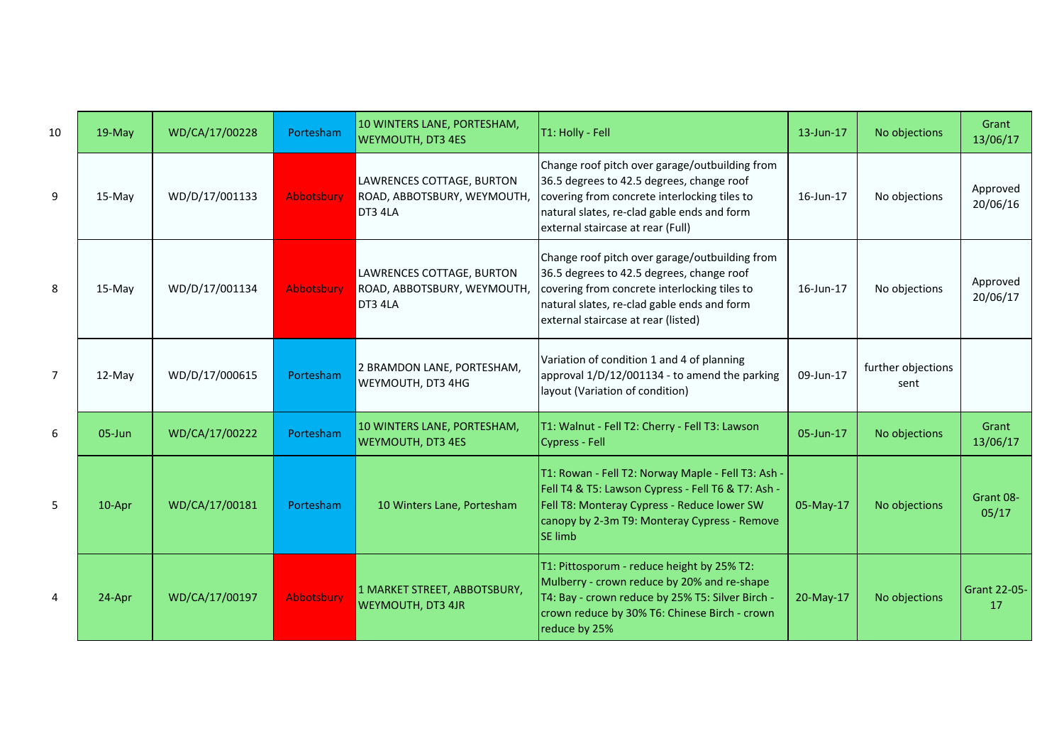| 10             | $19$ -May | WD/CA/17/00228 | Portesham  | 10 WINTERS LANE, PORTESHAM,<br><b>WEYMOUTH, DT3 4ES</b>             | T1: Holly - Fell                                                                                                                                                                                                                  | 13-Jun-17 | No objections              | Grant<br>13/06/17         |
|----------------|-----------|----------------|------------|---------------------------------------------------------------------|-----------------------------------------------------------------------------------------------------------------------------------------------------------------------------------------------------------------------------------|-----------|----------------------------|---------------------------|
| 9              | 15-May    | WD/D/17/001133 | Abbotsbury | LAWRENCES COTTAGE, BURTON<br>ROAD, ABBOTSBURY, WEYMOUTH,<br>DT3 4LA | Change roof pitch over garage/outbuilding from<br>36.5 degrees to 42.5 degrees, change roof<br>covering from concrete interlocking tiles to<br>natural slates, re-clad gable ends and form<br>external staircase at rear (Full)   | 16-Jun-17 | No objections              | Approved<br>20/06/16      |
| 8              | $15-May$  | WD/D/17/001134 | Abbotsbury | LAWRENCES COTTAGE, BURTON<br>ROAD, ABBOTSBURY, WEYMOUTH,<br>DT3 4LA | Change roof pitch over garage/outbuilding from<br>36.5 degrees to 42.5 degrees, change roof<br>covering from concrete interlocking tiles to<br>natural slates, re-clad gable ends and form<br>external staircase at rear (listed) | 16-Jun-17 | No objections              | Approved<br>20/06/17      |
| $\overline{7}$ | 12-May    | WD/D/17/000615 | Portesham  | 2 BRAMDON LANE, PORTESHAM,<br><b>WEYMOUTH, DT3 4HG</b>              | Variation of condition 1 and 4 of planning<br>approval 1/D/12/001134 - to amend the parking<br>Iayout (Variation of condition)                                                                                                    | 09-Jun-17 | further objections<br>sent |                           |
| 6              | 05-Jun    | WD/CA/17/00222 | Portesham  | 10 WINTERS LANE, PORTESHAM,<br><b>WEYMOUTH, DT3 4ES</b>             | T1: Walnut - Fell T2: Cherry - Fell T3: Lawson<br>Cypress - Fell                                                                                                                                                                  | 05-Jun-17 | No objections              | Grant<br>13/06/17         |
| 5              | 10-Apr    | WD/CA/17/00181 | Portesham  | 10 Winters Lane, Portesham                                          | T1: Rowan - Fell T2: Norway Maple - Fell T3: Ash -<br>Fell T4 & T5: Lawson Cypress - Fell T6 & T7: Ash -<br>Fell T8: Monteray Cypress - Reduce lower SW<br>canopy by 2-3m T9: Monteray Cypress - Remove<br><b>SE limb</b>         | 05-May-17 | No objections              | Grant 08-<br>05/17        |
| $\overline{4}$ | 24-Apr    | WD/CA/17/00197 | Abbotsbury | 1 MARKET STREET, ABBOTSBURY,<br>WEYMOUTH, DT3 4JR                   | T1: Pittosporum - reduce height by 25% T2:<br>Mulberry - crown reduce by 20% and re-shape<br>T4: Bay - crown reduce by 25% T5: Silver Birch -<br>crown reduce by 30% T6: Chinese Birch - crown<br>reduce by 25%                   | 20-May-17 | No objections              | <b>Grant 22-05-</b><br>17 |